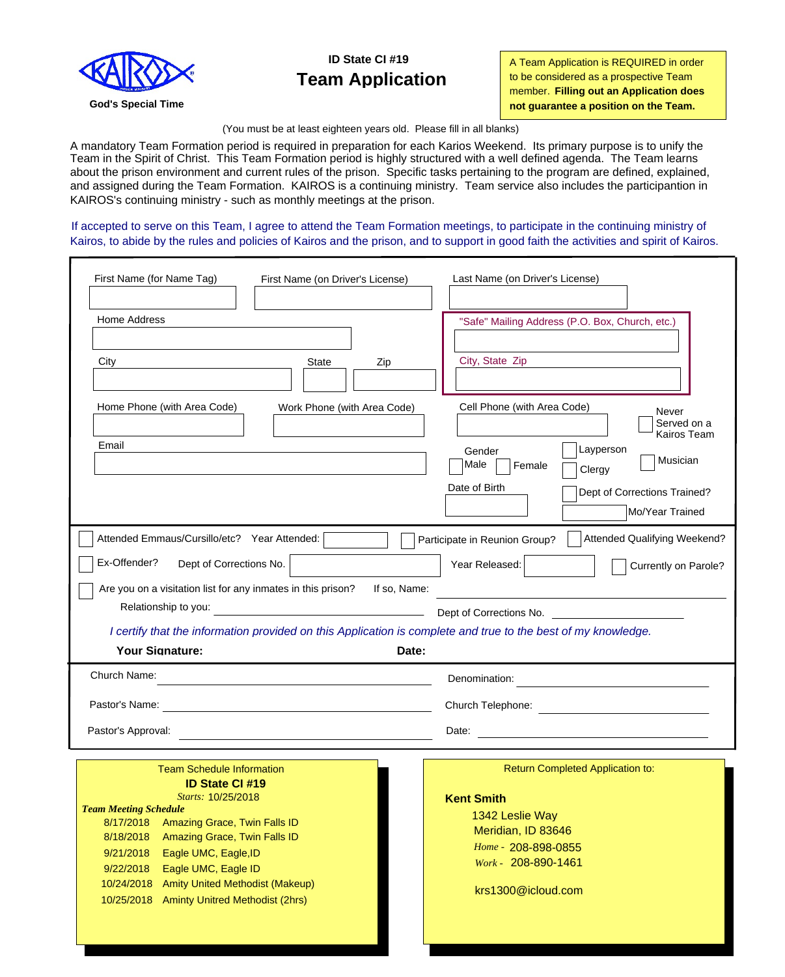

### **ID State CI #19 Team Application**

A Team Application is REQUIRED in order to be considered as a prospective Team member. **Filling out an Application does God's Special Time not guarantee a position on the Team. not guarantee a position on the Team.** 

(You must be at least eighteen years old. Please fill in all blanks)

A mandatory Team Formation period is required in preparation for each Karios Weekend. Its primary purpose is to unify the Team in the Spirit of Christ. This Team Formation period is highly structured with a well defined agenda. The Team learns about the prison environment and current rules of the prison. Specific tasks pertaining to the program are defined, explained, and assigned during the Team Formation. KAIROS is a continuing ministry. Team service also includes the participantion in KAIROS's continuing ministry - such as monthly meetings at the prison.

If accepted to serve on this Team, I agree to attend the Team Formation meetings, to participate in the continuing ministry of Kairos, to abide by the rules and policies of Kairos and the prison, and to support in good faith the activities and spirit of Kairos.

| First Name (for Name Tag)<br>First Name (on Driver's License)                                                 | Last Name (on Driver's License)                                                                                                      |  |
|---------------------------------------------------------------------------------------------------------------|--------------------------------------------------------------------------------------------------------------------------------------|--|
| Home Address                                                                                                  | "Safe" Mailing Address (P.O. Box, Church, etc.)                                                                                      |  |
| City<br>State<br>Zip                                                                                          | City, State Zip                                                                                                                      |  |
| Home Phone (with Area Code)<br>Work Phone (with Area Code)                                                    | Cell Phone (with Area Code)<br>Never<br>Served on a<br>Kairos Team                                                                   |  |
| Email                                                                                                         | Layperson<br>Gender<br>Musician<br>Male<br>Female<br>Clergy                                                                          |  |
|                                                                                                               | Date of Birth<br>Dept of Corrections Trained?<br>Mo/Year Trained                                                                     |  |
| Attended Emmaus/Cursillo/etc? Year Attended:                                                                  | Attended Qualifying Weekend?<br>Participate in Reunion Group?                                                                        |  |
| Ex-Offender?<br>Dept of Corrections No.                                                                       | Year Released:<br>Currently on Parole?                                                                                               |  |
| Are you on a visitation list for any inmates in this prison?<br>If so, Name:                                  |                                                                                                                                      |  |
| Relationship to you:                                                                                          | Dept of Corrections No.                                                                                                              |  |
| I certify that the information provided on this Application is complete and true to the best of my knowledge. |                                                                                                                                      |  |
| Your Signature:<br>Date:                                                                                      |                                                                                                                                      |  |
| Church Name:<br>the control of the control of the control of the control of the control of the control of     | Denomination:<br><u> 1989 - Johann Barn, mars ann an t-Amhain an t-Amhain an t-Amhain an t-Amhain an t-Amhain an t-Amhain an t-A</u> |  |
|                                                                                                               |                                                                                                                                      |  |
| Pastor's Approval:                                                                                            |                                                                                                                                      |  |
| <b>Team Schedule Information</b>                                                                              | Return Completed Application to:                                                                                                     |  |
| <b>ID State CI#19</b><br>Starts: 10/25/2018                                                                   | <b>Kent Smith</b>                                                                                                                    |  |
| <b>Team Meeting Schedule</b>                                                                                  | 1342 Leslie Way                                                                                                                      |  |
| 8/17/2018 Amazing Grace, Twin Falls ID                                                                        | Meridian, ID 83646                                                                                                                   |  |
| 8/18/2018 Amazing Grace, Twin Falls ID<br>9/21/2018<br>Eagle UMC, Eagle, ID                                   | Home - 208-898-0855                                                                                                                  |  |
| 9/22/2018<br>Eagle UMC, Eagle ID                                                                              | Work - 208-890-1461                                                                                                                  |  |
| 10/24/2018 Amity United Methodist (Makeup)                                                                    | krs1300@icloud.com                                                                                                                   |  |
| 10/25/2018 Aminty Unitred Methodist (2hrs)                                                                    |                                                                                                                                      |  |
|                                                                                                               |                                                                                                                                      |  |